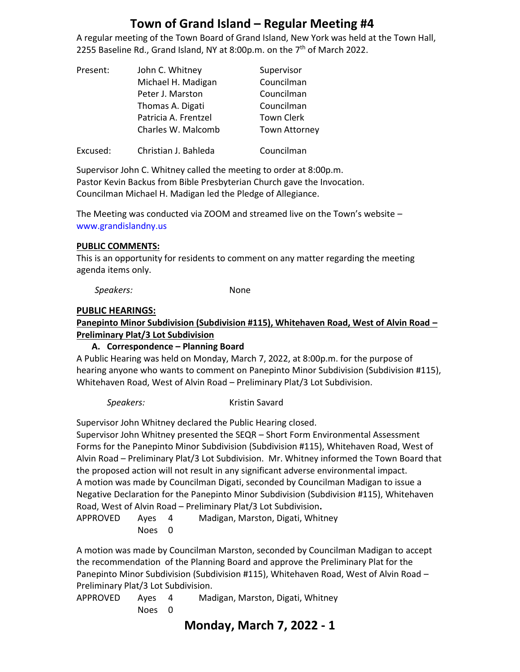A regular meeting of the Town Board of Grand Island, New York was held at the Town Hall, 2255 Baseline Rd., Grand Island, NY at 8:00p.m. on the  $7<sup>th</sup>$  of March 2022.

| Present: | John C. Whitney      | Supervisor           |
|----------|----------------------|----------------------|
|          | Michael H. Madigan   | Councilman           |
|          | Peter J. Marston     | Councilman           |
|          | Thomas A. Digati     | Councilman           |
|          | Patricia A. Frentzel | <b>Town Clerk</b>    |
|          | Charles W. Malcomb   | <b>Town Attorney</b> |
| Excused: | Christian J. Bahleda | Councilman           |

Supervisor John C. Whitney called the meeting to order at 8:00p.m. Pastor Kevin Backus from Bible Presbyterian Church gave the Invocation. Councilman Michael H. Madigan led the Pledge of Allegiance.

The Meeting was conducted via ZOOM and streamed live on the Town's website – [www.grandislandny.us](http://www.grandislandny.us/)

#### **PUBLIC COMMENTS:**

This is an opportunity for residents to comment on any matter regarding the meeting agenda items only.

*Speakers:* None

#### **PUBLIC HEARINGS:**

**Panepinto Minor Subdivision (Subdivision #115), Whitehaven Road, West of Alvin Road – Preliminary Plat/3 Lot Subdivision** 

#### **A. Correspondence – Planning Board**

A Public Hearing was held on Monday, March 7, 2022, at 8:00p.m. for the purpose of hearing anyone who wants to comment on Panepinto Minor Subdivision (Subdivision #115), Whitehaven Road, West of Alvin Road – Preliminary Plat/3 Lot Subdivision.

#### **Speakers:** Kristin Savard

Supervisor John Whitney declared the Public Hearing closed.

Supervisor John Whitney presented the SEQR – Short Form Environmental Assessment Forms for the Panepinto Minor Subdivision (Subdivision #115), Whitehaven Road, West of Alvin Road – Preliminary Plat/3 Lot Subdivision. Mr. Whitney informed the Town Board that the proposed action will not result in any significant adverse environmental impact. A motion was made by Councilman Digati, seconded by Councilman Madigan to issue a Negative Declaration for the Panepinto Minor Subdivision (Subdivision #115), Whitehaven Road, West of Alvin Road – Preliminary Plat/3 Lot Subdivision**.** 

APPROVED Ayes 4 Madigan, Marston, Digati, Whitney Noes 0

A motion was made by Councilman Marston, seconded by Councilman Madigan to accept the recommendation of the Planning Board and approve the Preliminary Plat for the Panepinto Minor Subdivision (Subdivision #115), Whitehaven Road, West of Alvin Road – Preliminary Plat/3 Lot Subdivision.

APPROVED Ayes 4 Madigan, Marston, Digati, Whitney Noes 0

## **Monday, March 7, 2022 - 1**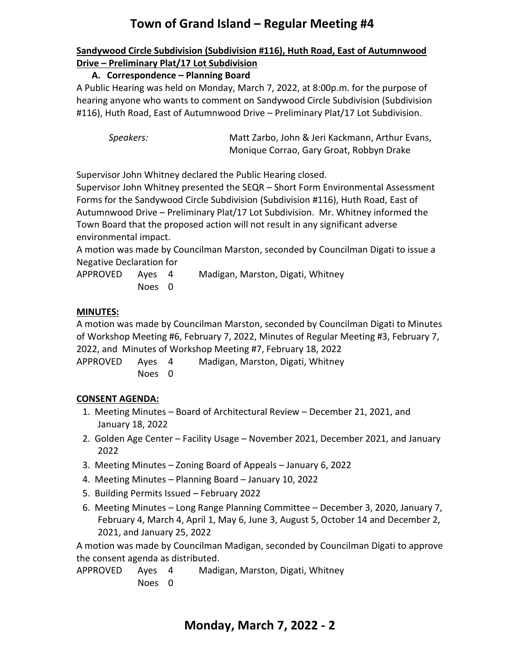### **Sandywood Circle Subdivision (Subdivision #116), Huth Road, East of Autumnwood Drive – Preliminary Plat/17 Lot Subdivision**

## **A. Correspondence – Planning Board**

A Public Hearing was held on Monday, March 7, 2022, at 8:00p.m. for the purpose of hearing anyone who wants to comment on Sandywood Circle Subdivision (Subdivision #116), Huth Road, East of Autumnwood Drive – Preliminary Plat/17 Lot Subdivision.

 *Speakers:* Matt Zarbo, John & Jeri Kackmann, Arthur Evans, Monique Corrao, Gary Groat, Robbyn Drake

Supervisor John Whitney declared the Public Hearing closed.

Supervisor John Whitney presented the SEQR – Short Form Environmental Assessment Forms for the Sandywood Circle Subdivision (Subdivision #116), Huth Road, East of Autumnwood Drive – Preliminary Plat/17 Lot Subdivision. Mr. Whitney informed the Town Board that the proposed action will not result in any significant adverse environmental impact.

A motion was made by Councilman Marston, seconded by Councilman Digati to issue a Negative Declaration for

APPROVED Ayes 4 Madigan, Marston, Digati, Whitney Noes 0

## **MINUTES:**

A motion was made by Councilman Marston, seconded by Councilman Digati to Minutes of Workshop Meeting #6, February 7, 2022, Minutes of Regular Meeting #3, February 7, 2022, and Minutes of Workshop Meeting #7, February 18, 2022

APPROVED Ayes 4 Madigan, Marston, Digati, Whitney Noes 0

## **CONSENT AGENDA:**

- 1. Meeting Minutes Board of Architectural Review December 21, 2021, and January 18, 2022
- 2. Golden Age Center Facility Usage November 2021, December 2021, and January 2022
- 3. Meeting Minutes Zoning Board of Appeals January 6, 2022
- 4. Meeting Minutes Planning Board January 10, 2022
- 5. Building Permits Issued February 2022
- 6. Meeting Minutes Long Range Planning Committee December 3, 2020, January 7, February 4, March 4, April 1, May 6, June 3, August 5, October 14 and December 2, 2021, and January 25, 2022

A motion was made by Councilman Madigan, seconded by Councilman Digati to approve the consent agenda as distributed.

APPROVED Ayes 4 Madigan, Marston, Digati, Whitney Noes 0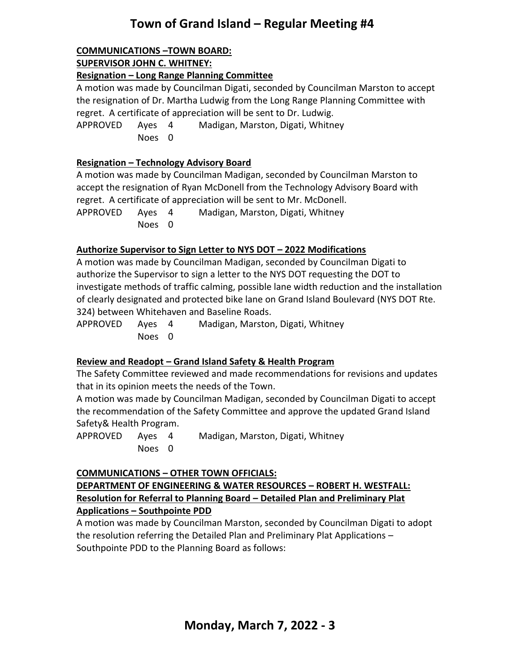# **COMMUNICATIONS –TOWN BOARD:**

**SUPERVISOR JOHN C. WHITNEY:**

### **Resignation – Long Range Planning Committee**

A motion was made by Councilman Digati, seconded by Councilman Marston to accept the resignation of Dr. Martha Ludwig from the Long Range Planning Committee with regret. A certificate of appreciation will be sent to Dr. Ludwig.

APPROVED Ayes 4 Madigan, Marston, Digati, Whitney Noes 0

### **Resignation – Technology Advisory Board**

A motion was made by Councilman Madigan, seconded by Councilman Marston to accept the resignation of Ryan McDonell from the Technology Advisory Board with regret. A certificate of appreciation will be sent to Mr. McDonell. APPROVED Ayes 4 Madigan, Marston, Digati, Whitney Noes 0

### **Authorize Supervisor to Sign Letter to NYS DOT – 2022 Modifications**

A motion was made by Councilman Madigan, seconded by Councilman Digati to authorize the Supervisor to sign a letter to the NYS DOT requesting the DOT to investigate methods of traffic calming, possible lane width reduction and the installation of clearly designated and protected bike lane on Grand Island Boulevard (NYS DOT Rte. 324) between Whitehaven and Baseline Roads.

| APPROVED Ayes 4 |        | Madigan, Marston, Digati, Whitney |
|-----------------|--------|-----------------------------------|
|                 | Noes 0 |                                   |

## **Review and Readopt – Grand Island Safety & Health Program**

The Safety Committee reviewed and made recommendations for revisions and updates that in its opinion meets the needs of the Town.

A motion was made by Councilman Madigan, seconded by Councilman Digati to accept the recommendation of the Safety Committee and approve the updated Grand Island Safety& Health Program.

APPROVED Ayes 4 Madigan, Marston, Digati, Whitney Noes 0

### **COMMUNICATIONS – OTHER TOWN OFFICIALS:**

### **DEPARTMENT OF ENGINEERING & WATER RESOURCES – ROBERT H. WESTFALL: Resolution for Referral to Planning Board – Detailed Plan and Preliminary Plat Applications – Southpointe PDD**

A motion was made by Councilman Marston, seconded by Councilman Digati to adopt the resolution referring the Detailed Plan and Preliminary Plat Applications – Southpointe PDD to the Planning Board as follows: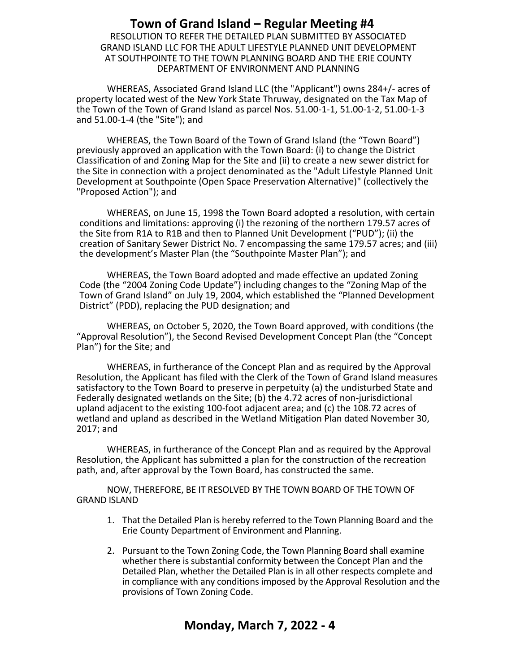RESOLUTION TO REFER THE DETAILED PLAN SUBMITTED BY ASSOCIATED GRAND ISLAND LLC FOR THE ADULT LIFESTYLE PLANNED UNIT DEVELOPMENT AT SOUTHPOINTE TO THE TOWN PLANNING BOARD AND THE ERIE COUNTY DEPARTMENT OF ENVIRONMENT AND PLANNING

WHEREAS, Associated Grand Island LLC (the "Applicant") owns 284+/- acres of property located west of the New York State Thruway, designated on the Tax Map of the Town of the Town of Grand Island as parcel Nos. 51.00-1-1, 51.00-1-2, 51.00-1-3 and 51.00-1-4 (the "Site"); and

WHEREAS, the Town Board of the Town of Grand Island (the "Town Board") previously approved an application with the Town Board: (i) to change the District Classification of and Zoning Map for the Site and (ii) to create a new sewer district for the Site in connection with a project denominated as the "Adult Lifestyle Planned Unit Development at Southpointe (Open Space Preservation Alternative)" (collectively the "Proposed Action"); and

WHEREAS, on June 15, 1998 the Town Board adopted a resolution, with certain conditions and limitations: approving (i) the rezoning of the northern 179.57 acres of the Site from R1A to R1B and then to Planned Unit Development ("PUD"); (ii) the creation of Sanitary Sewer District No. 7 encompassing the same 179.57 acres; and (iii) the development's Master Plan (the "Southpointe Master Plan"); and

WHEREAS, the Town Board adopted and made effective an updated Zoning Code (the "2004 Zoning Code Update") including changes to the "Zoning Map of the Town of Grand Island" on July 19, 2004, which established the "Planned Development District" (PDD), replacing the PUD designation; and

WHEREAS, on October 5, 2020, the Town Board approved, with conditions (the "Approval Resolution"), the Second Revised Development Concept Plan (the "Concept Plan") for the Site; and

WHEREAS, in furtherance of the Concept Plan and as required by the Approval Resolution, the Applicant has filed with the Clerk of the Town of Grand Island measures satisfactory to the Town Board to preserve in perpetuity (a) the undisturbed State and Federally designated wetlands on the Site; (b) the 4.72 acres of non-jurisdictional upland adjacent to the existing 100-foot adjacent area; and (c) the 108.72 acres of wetland and upland as described in the Wetland Mitigation Plan dated November 30, 2017; and

WHEREAS, in furtherance of the Concept Plan and as required by the Approval Resolution, the Applicant has submitted a plan for the construction of the recreation path, and, after approval by the Town Board, has constructed the same.

NOW, THEREFORE, BE IT RESOLVED BY THE TOWN BOARD OF THE TOWN OF GRAND ISLAND

- 1. That the Detailed Plan is hereby referred to the Town Planning Board and the Erie County Department of Environment and Planning.
- 2. Pursuant to the Town Zoning Code, the Town Planning Board shall examine whether there is substantial conformity between the Concept Plan and the Detailed Plan, whether the Detailed Plan is in all other respects complete and in compliance with any conditions imposed by the Approval Resolution and the provisions of Town Zoning Code.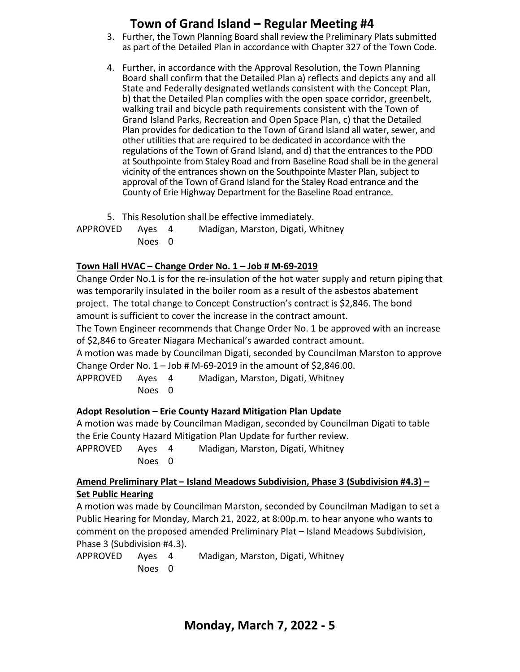- 3. Further, the Town Planning Board shall review the Preliminary Plats submitted as part of the Detailed Plan in accordance with Chapter 327 of the Town Code.
- 4. Further, in accordance with the Approval Resolution, the Town Planning Board shall confirm that the Detailed Plan a) reflects and depicts any and all State and Federally designated wetlands consistent with the Concept Plan, b) that the Detailed Plan complies with the open space corridor, greenbelt, walking trail and bicycle path requirements consistent with the Town of Grand Island Parks, Recreation and Open Space Plan, c) that the Detailed Plan provides for dedication to the Town of Grand Island all water, sewer, and other utilities that are required to be dedicated in accordance with the regulations of the Town of Grand Island, and d) that the entrances to the PDD at Southpointe from Staley Road and from Baseline Road shall be in the general vicinity of the entrances shown on the Southpointe Master Plan, subject to approval of the Town of Grand Island for the Staley Road entrance and the County of Erie Highway Department for the Baseline Road entrance.
- 5. This Resolution shall be effective immediately.

APPROVED Ayes 4 Madigan, Marston, Digati, Whitney Noes 0

### **Town Hall HVAC – Change Order No. 1 – Job # M-69-2019**

Change Order No.1 is for the re-insulation of the hot water supply and return piping that was temporarily insulated in the boiler room as a result of the asbestos abatement project. The total change to Concept Construction's contract is \$2,846. The bond amount is sufficient to cover the increase in the contract amount.

The Town Engineer recommends that Change Order No. 1 be approved with an increase of \$2,846 to Greater Niagara Mechanical's awarded contract amount.

A motion was made by Councilman Digati, seconded by Councilman Marston to approve Change Order No.  $1 -$  Job # M-69-2019 in the amount of \$2,846.00.

APPROVED Ayes 4 Madigan, Marston, Digati, Whitney Noes 0

### **Adopt Resolution – Erie County Hazard Mitigation Plan Update**

A motion was made by Councilman Madigan, seconded by Councilman Digati to table the Erie County Hazard Mitigation Plan Update for further review.

APPROVED Ayes 4 Madigan, Marston, Digati, Whitney Noes 0

#### **Amend Preliminary Plat – Island Meadows Subdivision, Phase 3 (Subdivision #4.3) – Set Public Hearing**

A motion was made by Councilman Marston, seconded by Councilman Madigan to set a Public Hearing for Monday, March 21, 2022, at 8:00p.m. to hear anyone who wants to comment on the proposed amended Preliminary Plat – Island Meadows Subdivision, Phase 3 (Subdivision #4.3).

| APPROVED Ayes 4 |        | Madigan, Marston, Digati, Whitney |
|-----------------|--------|-----------------------------------|
|                 | Noes 0 |                                   |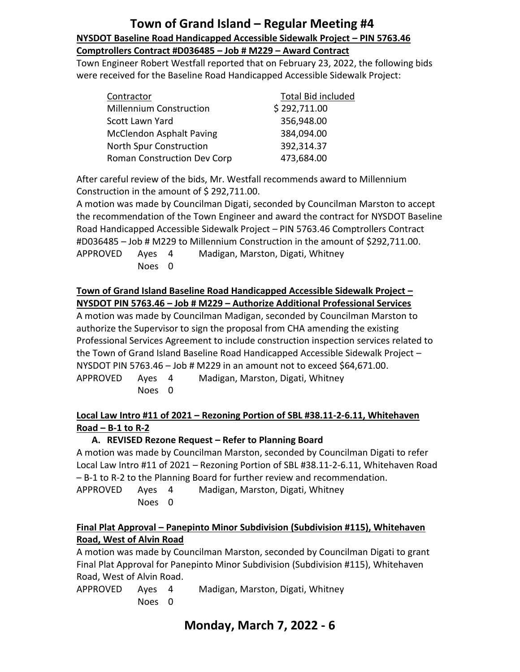## **Town of Grand Island – Regular Meeting #4 NYSDOT Baseline Road Handicapped Accessible Sidewalk Project – PIN 5763.46 Comptrollers Contract #D036485 – Job # M229 – Award Contract**

Town Engineer Robert Westfall reported that on February 23, 2022, the following bids were received for the Baseline Road Handicapped Accessible Sidewalk Project:

| Contractor                      | Total Bid included |
|---------------------------------|--------------------|
| <b>Millennium Construction</b>  | \$292,711.00       |
| Scott Lawn Yard                 | 356,948.00         |
| <b>McClendon Asphalt Paving</b> | 384,094.00         |
| <b>North Spur Construction</b>  | 392,314.37         |
| Roman Construction Dev Corp     | 473,684.00         |

After careful review of the bids, Mr. Westfall recommends award to Millennium Construction in the amount of \$292,711.00.

A motion was made by Councilman Digati, seconded by Councilman Marston to accept the recommendation of the Town Engineer and award the contract for NYSDOT Baseline Road Handicapped Accessible Sidewalk Project – PIN 5763.46 Comptrollers Contract #D036485 – Job # M229 to Millennium Construction in the amount of \$292,711.00. APPROVED Ayes 4 Madigan, Marston, Digati, Whitney

Noes 0

### **Town of Grand Island Baseline Road Handicapped Accessible Sidewalk Project – NYSDOT PIN 5763.46 – Job # M229 – Authorize Additional Professional Services**

A motion was made by Councilman Madigan, seconded by Councilman Marston to authorize the Supervisor to sign the proposal from CHA amending the existing Professional Services Agreement to include construction inspection services related to the Town of Grand Island Baseline Road Handicapped Accessible Sidewalk Project – NYSDOT PIN 5763.46 – Job # M229 in an amount not to exceed \$64,671.00. APPROVED Ayes 4 Madigan, Marston, Digati, Whitney

Noes 0

**Local Law Intro #11 of 2021 – Rezoning Portion of SBL #38.11-2-6.11, Whitehaven Road – B-1 to R-2**

## **A. REVISED Rezone Request – Refer to Planning Board**

A motion was made by Councilman Marston, seconded by Councilman Digati to refer Local Law Intro #11 of 2021 – Rezoning Portion of SBL #38.11-2-6.11, Whitehaven Road – B-1 to R-2 to the Planning Board for further review and recommendation.

APPROVED Ayes 4 Madigan, Marston, Digati, Whitney Noes 0

### **Final Plat Approval – Panepinto Minor Subdivision (Subdivision #115), Whitehaven Road, West of Alvin Road**

A motion was made by Councilman Marston, seconded by Councilman Digati to grant Final Plat Approval for Panepinto Minor Subdivision (Subdivision #115), Whitehaven Road, West of Alvin Road.

| APPROVED Aves |        | Madigan, Marston, Digati, Whitney |
|---------------|--------|-----------------------------------|
|               | Noes 0 |                                   |

## **Monday, March 7, 2022 - 6**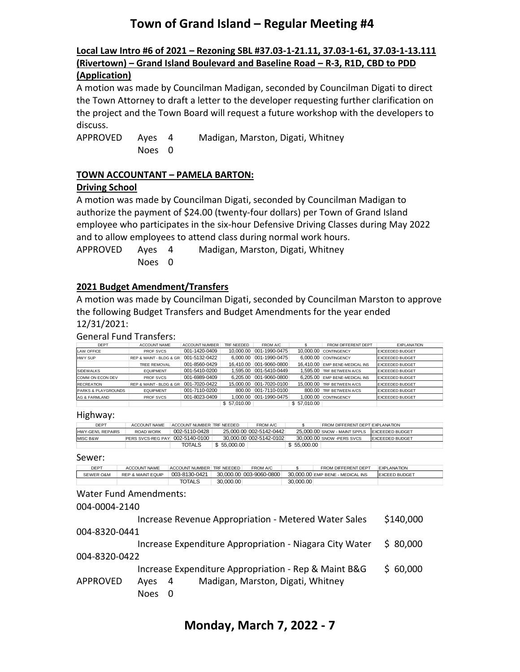#### **Local Law Intro #6 of 2021 – Rezoning SBL #37.03-1-21.11, 37.03-1-61, 37.03-1-13.111 (Rivertown) – Grand Island Boulevard and Baseline Road – R-3, R1D, CBD to PDD (Application)**

A motion was made by Councilman Madigan, seconded by Councilman Digati to direct the Town Attorney to draft a letter to the developer requesting further clarification on the project and the Town Board will request a future workshop with the developers to discuss.

APPROVED Ayes 4 Madigan, Marston, Digati, Whitney Noes 0

#### **TOWN ACCOUNTANT – PAMELA BARTON:**

#### **Driving School**

A motion was made by Councilman Digati, seconded by Councilman Madigan to authorize the payment of \$24.00 (twenty-four dollars) per Town of Grand Island employee who participates in the six-hour Defensive Driving Classes during May 2022 and to allow employees to attend class during normal work hours.

APPROVED Ayes 4 Madigan, Marston, Digati, Whitney Noes 0

### **2021 Budget Amendment/Transfers**

A motion was made by Councilman Digati, seconded by Councilman Marston to approve the following Budget Transfers and Budget Amendments for the year ended 12/31/2021:

#### General Fund Transfers:

| <b>DEPT</b>                    | <b>ACCOUNT NAME</b>     | <b>ACCOUNT NUMBER</b> | TRF NEEDED  | FROM A/C                |             | FROM DIFFERENT DEPT            | <b>EXPLANATION</b>     |
|--------------------------------|-------------------------|-----------------------|-------------|-------------------------|-------------|--------------------------------|------------------------|
| LAW OFFICE                     | <b>PROF SVCS</b>        | 001-1420-0409         | 10.000.00   | 001-1990-0475           | 10.000.00   | CONTINGENCY                    | <b>EXCEEDED BUDGET</b> |
| <b>HWY SUP</b>                 | REP & MAINT - BLDG & GR | 001-5132-0422         | 6.000.00    | 001-1990-0475           |             | 6.000.00 CONTINGENCY           | <b>EXCEEDED BUDGET</b> |
|                                | <b>TREE REMOVAL</b>     | 001-8560-0429         |             | 16.410.00 001-9060-0800 |             | 16.410.00 EMP BENE-MEDICAL INS | <b>EXCEEDED BUDGET</b> |
| <b>SIDEWALKS</b>               | <b>EQUIPMENT</b>        | 001-5410-0200         |             | 1.595.00 001-5410-0449  |             | 1.595.00 TRF BETWEEN A/CS      | <b>EXCEEDED BUDGET</b> |
| <b>COMM ON ECON DEV</b>        | <b>PROF SVCS</b>        | 001-6989-0409         |             | 6.205.00 001-9060-0800  |             | 6.205.00 EMP BENE-MEDICAL INS  | <b>EXCEEDED BUDGET</b> |
| <b>RECREATION</b>              | REP & MAINT - BLDG & GR | 001-7020-0422         | 15.000.00   | $ 001 - 7020 - 0100 $   |             | 15,000,00 TRF BETWEEN A/CS     | <b>EXCEEDED BUDGET</b> |
| <b>PARKS &amp; PLAYGROUNDS</b> | <b>EQUIPMENT</b>        | 001-7110-0200         | 800.00      | 001-7110-0100           |             | 800.00 TRF BETWEEN A/CS        | <b>EXCEEDED BUDGET</b> |
| AG & FARMLAND                  | <b>PROF SVCS</b>        | 001-8023-0409         | 1.000.00    | 001-1990-0475           |             | 1.000.00 CONTINGENCY           | <b>EXCEEDED BUDGET</b> |
|                                |                         |                       | \$57,010.00 |                         | \$57,010.00 |                                |                        |

#### Highway:

| DEPT              | ACCOUNT NAME                    | ACCOUNT NUMBER TRE NEEDED. |             | FROM A/C                |             | <b>FROM DIFFERENT DEPT EXPLANATION</b>        |                        |
|-------------------|---------------------------------|----------------------------|-------------|-------------------------|-------------|-----------------------------------------------|------------------------|
| HWY-GEN'L REPAIRS | ROAD WORK                       | 002-5110-0428              |             | 25.000.00 002-5142-0442 |             | 25,000,00 SNOW - MAINT SPPLS LEXCEEDED BUDGET |                        |
| MISC B&W          | PERS SVCS-REG PAY 002-5140-0100 |                            |             | 30.000.00 002-5142-0102 |             | 30,000,00 SNOW - PERS SVCS                    | <b>EXCEEDED BUDGET</b> |
|                   |                                 | TOTALS                     | \$55,000,00 |                         | \$55,000,00 |                                               |                        |

Sewer:

| <b>DEPT</b>          | ACCOUNT NAME                 | ACCOUNT NUMBER TRE NEEDED |           | FROM A/C                |           | FROM DIFFERENT DEPT              | <b>EXPLANATION</b>   |
|----------------------|------------------------------|---------------------------|-----------|-------------------------|-----------|----------------------------------|----------------------|
| <b>SEWER O&amp;M</b> | <b>REP &amp; MAINT EQUIP</b> | 003-8130-0421             |           | 30.000.00 003-9060-0800 |           | 30,000,00 EMP BENE - MEDICAL INS | <b>EXCEED BUDGET</b> |
|                      |                              | TOTALS                    | 30.000.00 |                         | 30,000,00 |                                  |                      |

#### Water Fund Amendments:

#### 004-0004-2140

|                 |             |     | Increase Revenue Appropriation - Metered Water Sales    | \$140,000 |
|-----------------|-------------|-----|---------------------------------------------------------|-----------|
| 004-8320-0441   |             |     |                                                         |           |
|                 |             |     | Increase Expenditure Appropriation - Niagara City Water | \$80,000  |
| 004-8320-0422   |             |     |                                                         |           |
|                 |             |     | Increase Expenditure Appropriation - Rep & Maint B&G    | \$60,000  |
| <b>APPROVED</b> | Ayes        | -4  | Madigan, Marston, Digati, Whitney                       |           |
|                 | <b>Noes</b> | - 0 |                                                         |           |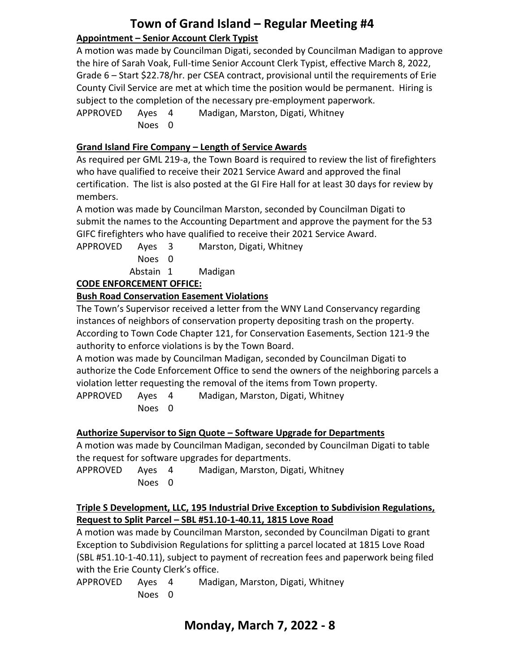## **Town of Grand Island – Regular Meeting #4 Appointment – Senior Account Clerk Typist**

A motion was made by Councilman Digati, seconded by Councilman Madigan to approve the hire of Sarah Voak, Full-time Senior Account Clerk Typist, effective March 8, 2022, Grade 6 – Start \$22.78/hr. per CSEA contract, provisional until the requirements of Erie County Civil Service are met at which time the position would be permanent. Hiring is subject to the completion of the necessary pre-employment paperwork.

APPROVED Ayes 4 Madigan, Marston, Digati, Whitney Noes 0

## **Grand Island Fire Company – Length of Service Awards**

As required per GML 219-a, the Town Board is required to review the list of firefighters who have qualified to receive their 2021 Service Award and approved the final certification. The list is also posted at the GI Fire Hall for at least 30 days for review by members.

A motion was made by Councilman Marston, seconded by Councilman Digati to submit the names to the Accounting Department and approve the payment for the 53 GIFC firefighters who have qualified to receive their 2021 Service Award.

APPROVED Ayes 3 Marston, Digati, Whitney

Noes 0

Abstain 1 Madigan

## **CODE ENFORCEMENT OFFICE:**

## **Bush Road Conservation Easement Violations**

The Town's Supervisor received a letter from the WNY Land Conservancy regarding instances of neighbors of conservation property depositing trash on the property. According to Town Code Chapter 121, for Conservation Easements, Section 121-9 the authority to enforce violations is by the Town Board.

A motion was made by Councilman Madigan, seconded by Councilman Digati to authorize the Code Enforcement Office to send the owners of the neighboring parcels a violation letter requesting the removal of the items from Town property.

APPROVED Ayes 4 Madigan, Marston, Digati, Whitney Noes 0

## **Authorize Supervisor to Sign Quote – Software Upgrade for Departments**

A motion was made by Councilman Madigan, seconded by Councilman Digati to table the request for software upgrades for departments.

APPROVED Ayes 4 Madigan, Marston, Digati, Whitney Noes 0

#### **Triple S Development, LLC, 195 Industrial Drive Exception to Subdivision Regulations, Request to Split Parcel – SBL #51.10-1-40.11, 1815 Love Road**

A motion was made by Councilman Marston, seconded by Councilman Digati to grant Exception to Subdivision Regulations for splitting a parcel located at 1815 Love Road (SBL #51.10-1-40.11), subject to payment of recreation fees and paperwork being filed with the Erie County Clerk's office.

APPROVED Ayes 4 Madigan, Marston, Digati, Whitney Noes 0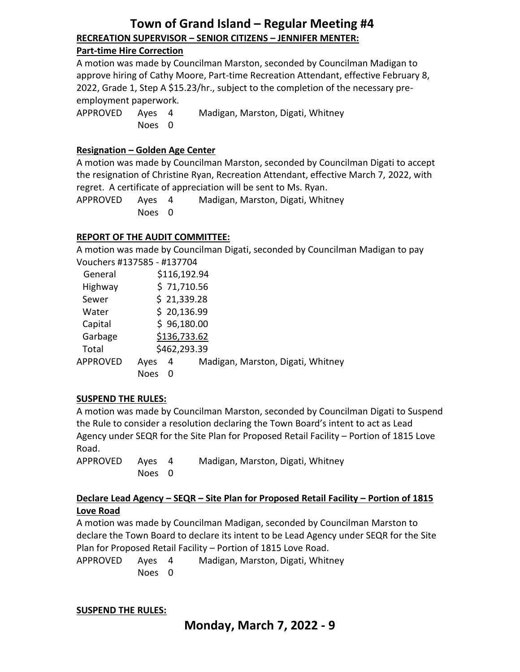## **Town of Grand Island – Regular Meeting #4 RECREATION SUPERVISOR – SENIOR CITIZENS – JENNIFER MENTER:**

#### **Part-time Hire Correction**

A motion was made by Councilman Marston, seconded by Councilman Madigan to approve hiring of Cathy Moore, Part-time Recreation Attendant, effective February 8, 2022, Grade 1, Step A \$15.23/hr., subject to the completion of the necessary preemployment paperwork.

APPROVED Ayes 4 Madigan, Marston, Digati, Whitney Noes 0

#### **Resignation – Golden Age Center**

A motion was made by Councilman Marston, seconded by Councilman Digati to accept the resignation of Christine Ryan, Recreation Attendant, effective March 7, 2022, with regret. A certificate of appreciation will be sent to Ms. Ryan.

APPROVED Ayes 4 Madigan, Marston, Digati, Whitney Noes 0

#### **REPORT OF THE AUDIT COMMITTEE:**

A motion was made by Councilman Digati, seconded by Councilman Madigan to pay

| Vouchers #137585 - #137704 |      |              |                                   |
|----------------------------|------|--------------|-----------------------------------|
| General                    |      | \$116,192.94 |                                   |
| Highway                    |      | \$71,710.56  |                                   |
| Sewer                      |      | \$21,339.28  |                                   |
| Water                      |      | \$20,136.99  |                                   |
| Capital                    |      | \$96,180.00  |                                   |
| Garbage                    |      | \$136,733.62 |                                   |
| Total                      |      | \$462,293.39 |                                   |
| <b>APPROVED</b>            | Ayes | 4            | Madigan, Marston, Digati, Whitney |
|                            | Noes | 0            |                                   |

#### **SUSPEND THE RULES:**

A motion was made by Councilman Marston, seconded by Councilman Digati to Suspend the Rule to consider a resolution declaring the Town Board's intent to act as Lead Agency under SEQR for the Site Plan for Proposed Retail Facility – Portion of 1815 Love Road.

APPROVED Ayes 4 Madigan, Marston, Digati, Whitney Noes 0

#### **Declare Lead Agency – SEQR – Site Plan for Proposed Retail Facility – Portion of 1815 Love Road**

A motion was made by Councilman Madigan, seconded by Councilman Marston to declare the Town Board to declare its intent to be Lead Agency under SEQR for the Site Plan for Proposed Retail Facility – Portion of 1815 Love Road.

APPROVED Ayes 4 Madigan, Marston, Digati, Whitney Noes 0

#### **SUSPEND THE RULES:**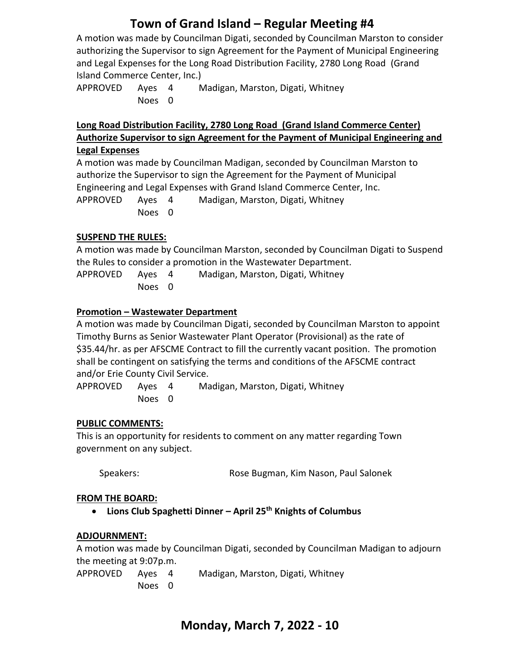A motion was made by Councilman Digati, seconded by Councilman Marston to consider authorizing the Supervisor to sign Agreement for the Payment of Municipal Engineering and Legal Expenses for the Long Road Distribution Facility, 2780 Long Road (Grand Island Commerce Center, Inc.)

APPROVED Ayes 4 Madigan, Marston, Digati, Whitney Noes 0

#### **Long Road Distribution Facility, 2780 Long Road (Grand Island Commerce Center) Authorize Supervisor to sign Agreement for the Payment of Municipal Engineering and Legal Expenses**

A motion was made by Councilman Madigan, seconded by Councilman Marston to authorize the Supervisor to sign the Agreement for the Payment of Municipal Engineering and Legal Expenses with Grand Island Commerce Center, Inc. APPROVED Ayes 4 Madigan, Marston, Digati, Whitney Noes 0

### **SUSPEND THE RULES:**

A motion was made by Councilman Marston, seconded by Councilman Digati to Suspend the Rules to consider a promotion in the Wastewater Department. APPROVED Ayes 4 Madigan, Marston, Digati, Whitney Noes 0

## **Promotion – Wastewater Department**

A motion was made by Councilman Digati, seconded by Councilman Marston to appoint Timothy Burns as Senior Wastewater Plant Operator (Provisional) as the rate of \$35.44/hr. as per AFSCME Contract to fill the currently vacant position. The promotion shall be contingent on satisfying the terms and conditions of the AFSCME contract and/or Erie County Civil Service.

APPROVED Ayes 4 Madigan, Marston, Digati, Whitney Noes 0

#### **PUBLIC COMMENTS:**

This is an opportunity for residents to comment on any matter regarding Town government on any subject.

Speakers: Rose Bugman, Kim Nason, Paul Salonek

#### **FROM THE BOARD:**

• **Lions Club Spaghetti Dinner – April 25th Knights of Columbus**

#### **ADJOURNMENT:**

A motion was made by Councilman Digati, seconded by Councilman Madigan to adjourn the meeting at 9:07p.m.

| APPROVED | Aves   | Madigan, Marston, Digati, Whitney |
|----------|--------|-----------------------------------|
|          | Noes 0 |                                   |